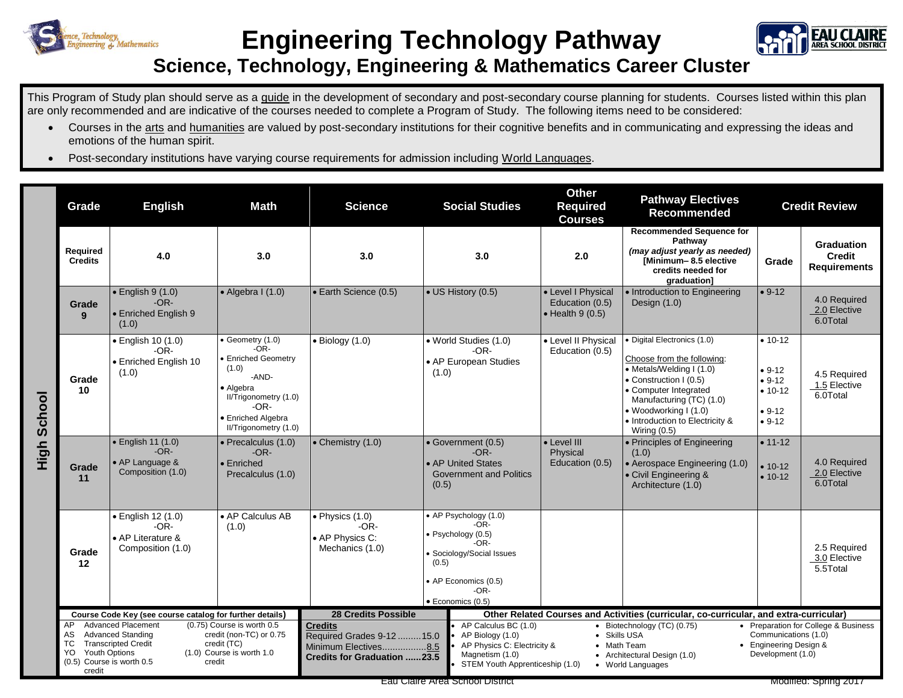

## **Engineering Technology Pathway**



## **Science, Technology, Engineering & Mathematics Career Cluster**

This Program of Study plan should serve as a guide in the development of secondary and post-secondary course planning for students. Courses listed within this plan are only recommended and are indicative of the courses needed to complete a Program of Study. The following items need to be considered:

- Courses in the arts and humanities are valued by post-secondary institutions for their cognitive benefits and in communicating and expressing the ideas and emotions of the human spirit.
- Post-secondary institutions have varying course requirements for admission including World Languages.

|             | Grade                                                                                                                                                                                                                                                                                     | <b>English</b>                                                         | <b>Math</b>                                                                                                                                                           | <b>Science</b>                                                                                            | <b>Social Studies</b>                                                                                                                                            | <b>Other</b><br><b>Required</b><br><b>Courses</b>                                                                                                                                                                                                                                                                      | <b>Pathway Electives</b><br><b>Recommended</b>                                                                                                                                                                                                     | <b>Credit Review</b>                                                   |                                                           |
|-------------|-------------------------------------------------------------------------------------------------------------------------------------------------------------------------------------------------------------------------------------------------------------------------------------------|------------------------------------------------------------------------|-----------------------------------------------------------------------------------------------------------------------------------------------------------------------|-----------------------------------------------------------------------------------------------------------|------------------------------------------------------------------------------------------------------------------------------------------------------------------|------------------------------------------------------------------------------------------------------------------------------------------------------------------------------------------------------------------------------------------------------------------------------------------------------------------------|----------------------------------------------------------------------------------------------------------------------------------------------------------------------------------------------------------------------------------------------------|------------------------------------------------------------------------|-----------------------------------------------------------|
|             | Required<br><b>Credits</b>                                                                                                                                                                                                                                                                | 4.0                                                                    | 3.0                                                                                                                                                                   | 3.0                                                                                                       | 3.0                                                                                                                                                              | 2.0                                                                                                                                                                                                                                                                                                                    | <b>Recommended Sequence for</b><br>Pathway<br>(may adjust yearly as needed)<br>[Minimum-8.5 elective<br>credits needed for<br>graduation]                                                                                                          | Grade                                                                  | <b>Graduation</b><br><b>Credit</b><br><b>Requirements</b> |
|             | Grade<br>9                                                                                                                                                                                                                                                                                | $\bullet$ English 9 (1.0)<br>$-OR-$<br>• Enriched English 9<br>(1.0)   | $\bullet$ Algebra I (1.0)                                                                                                                                             | • Earth Science (0.5)                                                                                     | • US History (0.5)                                                                                                                                               | • Level I Physical<br>Education (0.5)<br>$\bullet$ Health 9 (0.5)                                                                                                                                                                                                                                                      | • Introduction to Engineering<br>Design $(1.0)$                                                                                                                                                                                                    | $• 9-12$                                                               | 4.0 Required<br>2.0 Elective<br>6.0Total                  |
| High School | Grade<br>10                                                                                                                                                                                                                                                                               | · English 10 (1.0)<br>$-OR-$<br>• Enriched English 10<br>(1.0)         | Geometry (1.0)<br>$-OR-$<br><b>Enriched Geometry</b><br>(1.0)<br>-AND-<br>• Algebra<br>II/Trigonometry (1.0)<br>$-OR-$<br>· Enriched Algebra<br>II/Trigonometry (1.0) | $\bullet$ Biology (1.0)                                                                                   | · World Studies (1.0)<br>$-OR-$<br>• AP European Studies<br>(1.0)                                                                                                | • Level II Physical<br>Education (0.5)                                                                                                                                                                                                                                                                                 | · Digital Electronics (1.0)<br>Choose from the following:<br>• Metals/Welding I (1.0)<br>• Construction I (0.5)<br>• Computer Integrated<br>Manufacturing (TC) (1.0)<br>• Woodworking I (1.0)<br>• Introduction to Electricity &<br>Wiring $(0.5)$ | $• 10-12$<br>$• 9-12$<br>$• 9-12$<br>$• 10-12$<br>$• 9-12$<br>$• 9-12$ | 4.5 Required<br>1.5 Elective<br>6.0Total                  |
|             | Grade<br>11                                                                                                                                                                                                                                                                               | • English 11 (1.0)<br>$-OR-$<br>• AP Language &<br>Composition (1.0)   | • Precalculus (1.0)<br>$-OR-$<br>• Enriched<br>Precalculus (1.0)                                                                                                      | • Chemistry (1.0)                                                                                         | • Government (0.5)<br>$-OR-$<br>• AP United States<br><b>Government and Politics</b><br>(0.5)                                                                    | • Level III<br>Physical<br>Education (0.5)                                                                                                                                                                                                                                                                             | • Principles of Engineering<br>(1.0)<br>• Aerospace Engineering (1.0)<br>• Civil Engineering &<br>Architecture (1.0)                                                                                                                               | $• 11-12$<br>$• 10-12$<br>$• 10-12$                                    | 4.0 Required<br>2.0 Elective<br>6.0Total                  |
|             | Grade<br>12                                                                                                                                                                                                                                                                               | · English 12 (1.0)<br>$-OR-$<br>• AP Literature &<br>Composition (1.0) | $\overline{\bullet}$ AP Calculus AB<br>(1.0)                                                                                                                          | $\bullet$ Physics (1.0)<br>$-OR-$<br>• AP Physics C:<br>Mechanics (1.0)                                   | • AP Psychology (1.0)<br>$-OR-$<br>· Psychology (0.5)<br>-OR-<br>Sociology/Social Issues<br>(0.5)<br>• AP Economics (0.5)<br>$-OR-$<br>$\bullet$ Economics (0.5) |                                                                                                                                                                                                                                                                                                                        |                                                                                                                                                                                                                                                    |                                                                        | 2.5 Required<br>3.0 Elective<br>5.5Total                  |
|             | Course Code Key (see course catalog for further details)                                                                                                                                                                                                                                  |                                                                        |                                                                                                                                                                       | <b>28 Credits Possible</b>                                                                                |                                                                                                                                                                  | Other Related Courses and Activities (curricular, co-curricular, and extra-curricular)                                                                                                                                                                                                                                 |                                                                                                                                                                                                                                                    |                                                                        |                                                           |
|             | (0.75) Course is worth 0.5<br>AP<br><b>Advanced Placement</b><br><b>Advanced Standing</b><br>credit (non-TC) or 0.75<br>AS<br>TC<br><b>Transcripted Credit</b><br>credit (TC)<br><b>Youth Options</b><br>(1.0) Course is worth 1.0<br>YO<br>(0.5) Course is worth 0.5<br>credit<br>credit |                                                                        |                                                                                                                                                                       | <b>Credits</b><br>Required Grades 9-12 15.0<br>Minimum Electives8.5<br><b>Credits for Graduation 23.5</b> | AP Biology (1.0)<br>Magnetism (1.0)                                                                                                                              | • Preparation for College & Business<br>AP Calculus BC (1.0)<br>Biotechnology (TC) (0.75)<br>Communications (1.0)<br>• Skills USA<br>• Engineering Design &<br>AP Physics C: Electricity &<br>• Math Team<br>Development (1.0)<br>• Architectural Design (1.0)<br>STEM Youth Apprenticeship (1.0)<br>• World Languages |                                                                                                                                                                                                                                                    |                                                                        |                                                           |